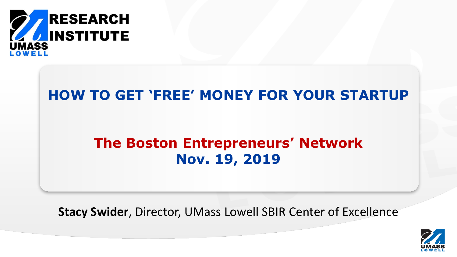

### **HOW TO GET 'FREE' MONEY FOR YOUR STARTUP**

# **The Boston Entrepreneurs' Network Nov. 19, 2019**

**Stacy Swider**, Director, UMass Lowell SBIR Center of Excellence

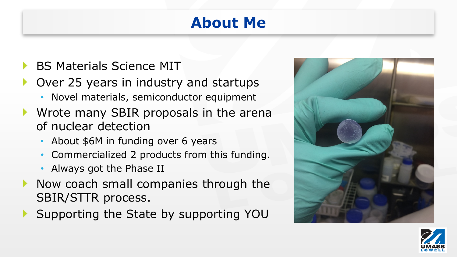# **About Me**

- BS Materials Science MIT
- Over 25 years in industry and startups
	- Novel materials, semiconductor equipment
- Wrote many SBIR proposals in the arena of nuclear detection
	- About \$6M in funding over 6 years
	- Commercialized 2 products from this funding.
	- Always got the Phase II
- $\blacktriangleright$  Now coach small companies through the SBIR/STTR process.
- Supporting the State by supporting YOU



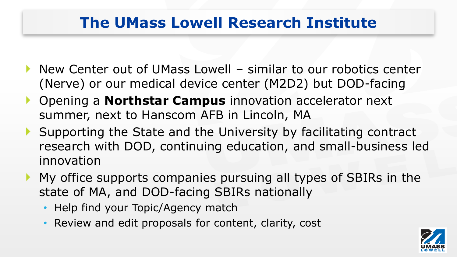# **The UMass Lowell Research Institute**

- ▶ New Center out of UMass Lowell similar to our robotics center (Nerve) or our medical device center (M2D2) but DOD-facing
- Opening a **Northstar Campus** innovation accelerator next summer, next to Hanscom AFB in Lincoln, MA
- Supporting the State and the University by facilitating contract research with DOD, continuing education, and small-business led innovation
- My office supports companies pursuing all types of SBIRs in the state of MA, and DOD-facing SBIRs nationally
	- Help find your Topic/Agency match
	- Review and edit proposals for content, clarity, cost

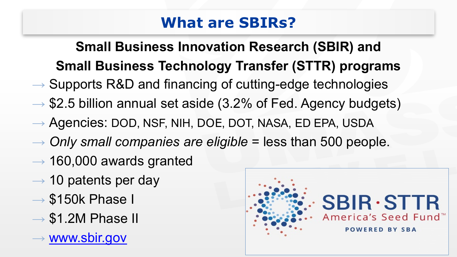# **What are SBIRs?**

# **Small Business Innovation Research (SBIR) and Small Business Technology Transfer (STTR) programs**

- $\rightarrow$  Supports R&D and financing of cutting-edge technologies
- $\rightarrow$  \$2.5 billion annual set aside (3.2% of Fed. Agency budgets)
- → Agencies: DOD, NSF, NIH, DOE, DOT, NASA, ED EPA, USDA
- → *Only small companies are eligible* = less than 500 people.
- $\rightarrow$  160,000 awards granted
- $\rightarrow$  10 patents per day
- $\rightarrow$  \$150k Phase I
- $\rightarrow$  \$1.2M Phase II
- $\rightarrow$  [www.sbir.gov](http://www.sbir.gov/)

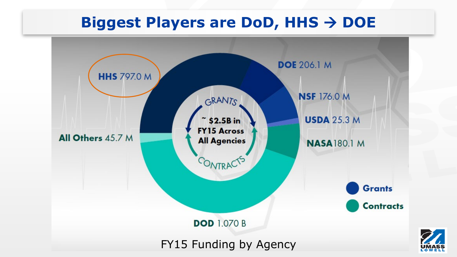# **Biggest Players are DoD, HHS**  $\rightarrow$  **DOE**

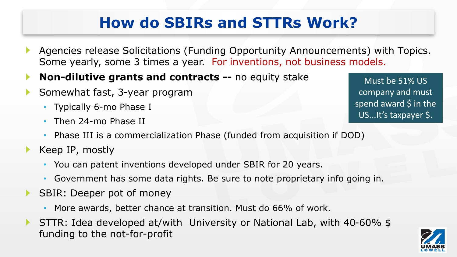# **How do SBIRs and STTRs Work?**

- Agencies release Solicitations (Funding Opportunity Announcements) with Topics. Some yearly, some 3 times a year. For inventions, not business models.
- **Non-dilutive grants and contracts --** no equity stake ▶
- Somewhat fast, 3-year program
	- Typically 6-mo Phase I
	- Then 24-mo Phase II

Must be 51% US company and must spend award  $\frac{1}{2}$  in the US...It's taxpayer \$.

- Phase III is a commercialization Phase (funded from acquisition if DOD)
- Keep IP, mostly
	- You can patent inventions developed under SBIR for 20 years.
	- Government has some data rights. Be sure to note proprietary info going in.
- SBIR: Deeper pot of money ▶
	- More awards, better chance at transition. Must do 66% of work.
- STTR: Idea developed at/with University or National Lab, with 40-60% \$ funding to the not-for-profit

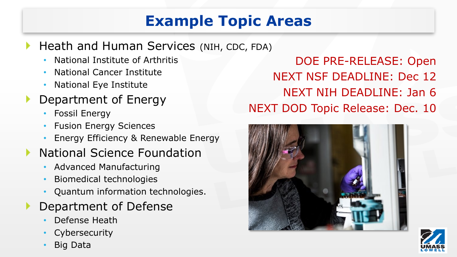# **Example Topic Areas**

#### Heath and Human Services (NIH, CDC, FDA)

- National Institute of Arthritis
- National Cancer Institute
- National Eye Institute
- Department of Energy
	- Fossil Energy
	- **Fusion Energy Sciences**
	- Energy Efficiency & Renewable Energy
- National Science Foundation
	- Advanced Manufacturing
	- Biomedical technologies
	- Quantum information technologies.
- Department of Defense
	- Defense Heath
	- **Cybersecurity**
	- Big Data

DOE PRE-RELEASE: Open NEXT NSF DEADLINE: Dec 12 NEXT NIH DEADLINE: Jan 6 NEXT DOD Topic Release: Dec. 10



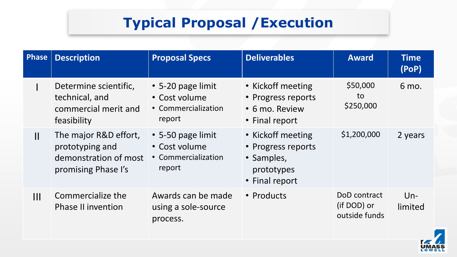# **Typical Proposal /Execution**

| Phase          | <b>Description</b>                                                                       | <b>Proposal Specs</b>                                                     | <b>Deliverables</b>                                                                   | <b>Award</b>                                 | <b>Time</b><br>(POP) |
|----------------|------------------------------------------------------------------------------------------|---------------------------------------------------------------------------|---------------------------------------------------------------------------------------|----------------------------------------------|----------------------|
|                | Determine scientific,<br>technical, and<br>commercial merit and<br>feasibility           | $\cdot$ 5-20 page limit<br>• Cost volume<br>• Commercialization<br>report | • Kickoff meeting<br>• Progress reports<br>• 6 mo. Review<br>• Final report           | \$50,000<br>to<br>\$250,000                  | 6 mo.                |
| $\mathbf{II}$  | The major R&D effort,<br>prototyping and<br>demonstration of most<br>promising Phase I's | • 5-50 page limit<br>• Cost volume<br>• Commercialization<br>report       | • Kickoff meeting<br>• Progress reports<br>• Samples,<br>prototypes<br>• Final report | \$1,200,000                                  | 2 years              |
| $\mathbf{III}$ | Commercialize the<br><b>Phase II invention</b>                                           | Awards can be made<br>using a sole-source<br>process.                     | • Products                                                                            | DoD contract<br>(if DOD) or<br>outside funds | $Un-$<br>limited     |

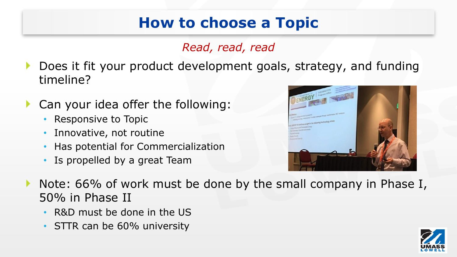# **How to choose a Topic**

#### *Read, read, read*

- Does it fit your product development goals, strategy, and funding ▶ timeline?
- Can your idea offer the following:
	- Responsive to Topic
	- Innovative, not routine
	- Has potential for Commercialization
	- Is propelled by a great Team



- Note: 66% of work must be done by the small company in Phase I, 50% in Phase II
	- R&D must be done in the US
	- STTR can be 60% university

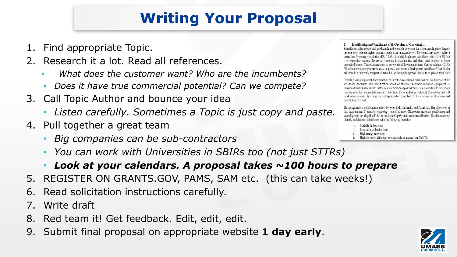# **Writing Your Proposal**

- 1. Find appropriate Topic.
- 2. Research it a lot. Read all references.
	- *What does the customer want? Who are the incumbents?*
	- *Does it have true commercial potential? Can we compete?*
- 3. Call Topic Author and bounce your idea
	- *Listen carefully. Sometimes a Topic is just copy and paste.*
- 4. Pull together a great team
	- *Big companies can be sub-contractors*
	- *You can work with Universities in SBIRs too (not just STTRs)*
	- *Look at your calendars. A proposal takes ~100 hours to prepare*
- 5. REGISTER ON GRANTS.GOV, PAMS, SAM etc. (this can take weeks!)
- 6. Read solicitation instructions carefully.
- 7. Write draft
- 8. Red team it! Get feedback. Edit, edit, edit.
- 9. Submit final proposal on appropriate website **1 day early**.

#### I. Identification and Significance of the Problem or Opportunity.

Scintillators offer robust and predictable radionuclide detection for a reasonable price, largely because they tolerate higher impurity levels than semiconductors. However, they rarely achieve better than 3% energy resolution (ER).<sup>1</sup> LaBr<sub>3</sub> is a high brightness scintillator with < 3% ER, but it is expensive because the crystal structure is asymmetric, and thus, hard to grow as large uncracked boules. This program seeks to answer the following questions: Can we achieve  $\leq 2.5\%$ ER with a low cost (symmetric, easy to grow), low-intrinsic-background scintillator? Can this be achieved in a relatively compact volume, i.e., with stopping power similar to or greater than NaI?

Unambiguous and prompt discrimination of threat sources from benign sources is a function of the sensitivity, accuracy, and identification speed of available handheld radiation equipment. A number of studies have shown that false identification rapidly decreases in proportion to the energy resolution of the radionuclide sensor. Thus, high ER scintillators with high Z numbers that will be developed under this program will appreciably contribute to the efficient identification and interdiction of SNM.

This program is a collaborative effort between Fisk University and CapeSym. The objectives of this program are: 1) transfer technology related to novel Elpasolites materials purification and crystal growth developed at Fisk University to CapeSym for commerzialization; 2) collaboratively identify and develop scintillators with the following qualities:

- Scalable & Low cost
- Low intrinsic background iii. High energy resolution
- High detection efficiency (comparable or greater than NaI(Tl)

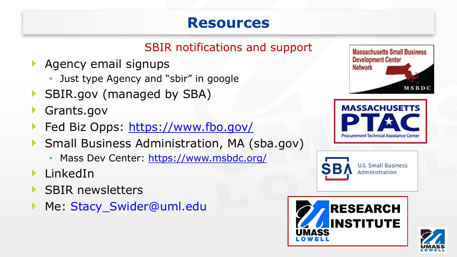### **Resources**

### SBIR notifications and support

- Agency email signups
	- Just type Agency and "sbir" in google
- SBIR.gov (managed by SBA)
- Grants.gov
- Fed Biz Opps:<https://www.fbo.gov/>
- ▶ Small Business Administration, MA (sba.gov)
	- Mass Dev Center:<https://www.msbdc.org/>
- LinkedIn
- SBIR newsletters
- Me: Stacy\_Swider@uml.edu Þ.







**U.S. Small Business** Administration